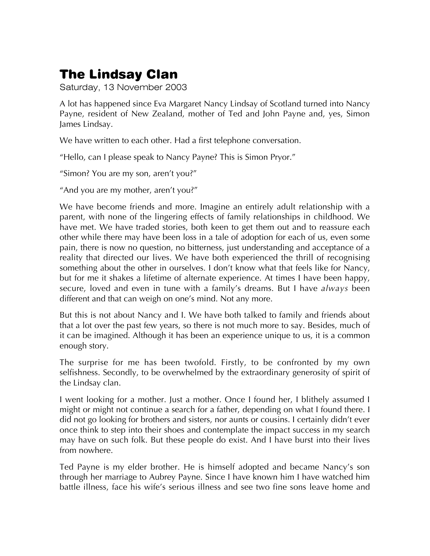Saturday, 13 November 2003

A lot has happened since Eva Margaret Nancy Lindsay of Scotland turned into Nancy Payne, resident of New Zealand, mother of Ted and John Payne and, yes, Simon James Lindsay.

We have written to each other. Had a first telephone conversation.

"Hello, can I please speak to Nancy Payne? This is Simon Pryor."

"Simon? You are my son, aren't you?"

"And you are my mother, aren't you?"

We have become friends and more. Imagine an entirely adult relationship with a parent, with none of the lingering effects of family relationships in childhood. We have met. We have traded stories, both keen to get them out and to reassure each other while there may have been loss in a tale of adoption for each of us, even some pain, there is now no question, no bitterness, just understanding and acceptance of a reality that directed our lives. We have both experienced the thrill of recognising something about the other in ourselves. I don't know what that feels like for Nancy, but for me it shakes a lifetime of alternate experience. At times I have been happy, secure, loved and even in tune with a family's dreams. But I have *always* been different and that can weigh on one's mind. Not any more.

But this is not about Nancy and I. We have both talked to family and friends about that a lot over the past few years, so there is not much more to say. Besides, much of it can be imagined. Although it has been an experience unique to us, it is a common enough story.

The surprise for me has been twofold. Firstly, to be confronted by my own selfishness. Secondly, to be overwhelmed by the extraordinary generosity of spirit of the Lindsay clan.

I went looking for a mother. Just a mother. Once I found her, I blithely assumed I might or might not continue a search for a father, depending on what I found there. I did not go looking for brothers and sisters, nor aunts or cousins. I certainly didn't ever once think to step into their shoes and contemplate the impact success in my search may have on such folk. But these people do exist. And I have burst into their lives from nowhere.

Ted Payne is my elder brother. He is himself adopted and became Nancy's son through her marriage to Aubrey Payne. Since I have known him I have watched him battle illness, face his wife's serious illness and see two fine sons leave home and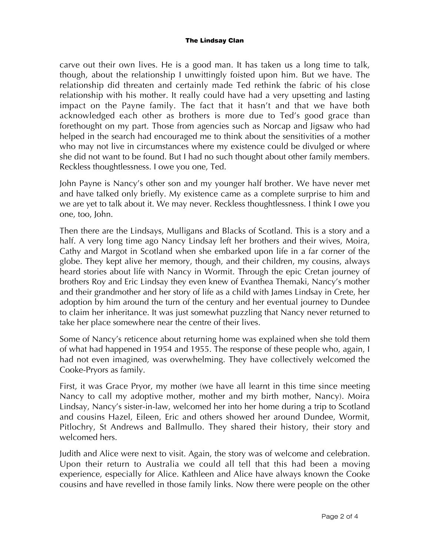carve out their own lives. He is a good man. It has taken us a long time to talk, though, about the relationship I unwittingly foisted upon him. But we have. The relationship did threaten and certainly made Ted rethink the fabric of his close relationship with his mother. It really could have had a very upsetting and lasting impact on the Payne family. The fact that it hasn't and that we have both acknowledged each other as brothers is more due to Ted's good grace than forethought on my part. Those from agencies such as Norcap and Jigsaw who had helped in the search had encouraged me to think about the sensitivities of a mother who may not live in circumstances where my existence could be divulged or where she did not want to be found. But I had no such thought about other family members. Reckless thoughtlessness. I owe you one, Ted.

John Payne is Nancy's other son and my younger half brother. We have never met and have talked only briefly. My existence came as a complete surprise to him and we are yet to talk about it. We may never. Reckless thoughtlessness. I think I owe you one, too, John.

Then there are the Lindsays, Mulligans and Blacks of Scotland. This is a story and a half. A very long time ago Nancy Lindsay left her brothers and their wives, Moira, Cathy and Margot in Scotland when she embarked upon life in a far corner of the globe. They kept alive her memory, though, and their children, my cousins, always heard stories about life with Nancy in Wormit. Through the epic Cretan journey of brothers Roy and Eric Lindsay they even knew of Evanthea Themaki, Nancy's mother and their grandmother and her story of life as a child with James Lindsay in Crete, her adoption by him around the turn of the century and her eventual journey to Dundee to claim her inheritance. It was just somewhat puzzling that Nancy never returned to take her place somewhere near the centre of their lives.

Some of Nancy's reticence about returning home was explained when she told them of what had happened in 1954 and 1955. The response of these people who, again, I had not even imagined, was overwhelming. They have collectively welcomed the Cooke-Pryors as family.

First, it was Grace Pryor, my mother (we have all learnt in this time since meeting Nancy to call my adoptive mother, mother and my birth mother, Nancy). Moira Lindsay, Nancy's sister-in-law, welcomed her into her home during a trip to Scotland and cousins Hazel, Eileen, Eric and others showed her around Dundee, Wormit, Pitlochry, St Andrews and Ballmullo. They shared their history, their story and welcomed hers.

Judith and Alice were next to visit. Again, the story was of welcome and celebration. Upon their return to Australia we could all tell that this had been a moving experience, especially for Alice. Kathleen and Alice have always known the Cooke cousins and have revelled in those family links. Now there were people on the other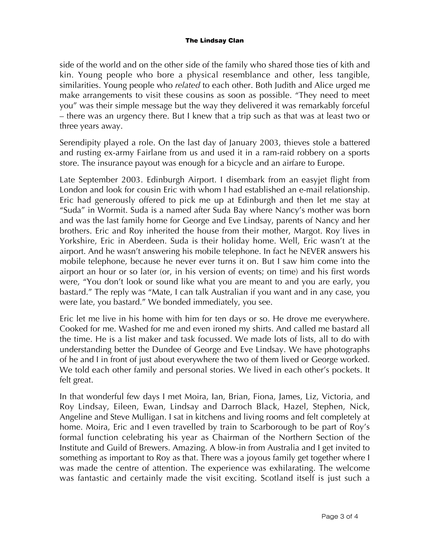side of the world and on the other side of the family who shared those ties of kith and kin. Young people who bore a physical resemblance and other, less tangible, similarities. Young people who *related* to each other. Both Judith and Alice urged me make arrangements to visit these cousins as soon as possible. "They need to meet you" was their simple message but the way they delivered it was remarkably forceful – there was an urgency there. But I knew that a trip such as that was at least two or three years away.

Serendipity played a role. On the last day of January 2003, thieves stole a battered and rusting ex-army Fairlane from us and used it in a ram-raid robbery on a sports store. The insurance payout was enough for a bicycle and an airfare to Europe.

Late September 2003. Edinburgh Airport. I disembark from an easyjet flight from London and look for cousin Eric with whom I had established an e-mail relationship. Eric had generously offered to pick me up at Edinburgh and then let me stay at "Suda" in Wormit. Suda is a named after Suda Bay where Nancy's mother was born and was the last family home for George and Eve Lindsay, parents of Nancy and her brothers. Eric and Roy inherited the house from their mother, Margot. Roy lives in Yorkshire, Eric in Aberdeen. Suda is their holiday home. Well, Eric wasn't at the airport. And he wasn't answering his mobile telephone. In fact he NEVER answers his mobile telephone, because he never ever turns it on. But I saw him come into the airport an hour or so later (or, in his version of events; on time) and his first words were, "You don't look or sound like what you are meant to and you are early, you bastard." The reply was "Mate, I can talk Australian if you want and in any case, you were late, you bastard." We bonded immediately, you see.

Eric let me live in his home with him for ten days or so. He drove me everywhere. Cooked for me. Washed for me and even ironed my shirts. And called me bastard all the time. He is a list maker and task focussed. We made lots of lists, all to do with understanding better the Dundee of George and Eve Lindsay. We have photographs of he and I in front of just about everywhere the two of them lived or George worked. We told each other family and personal stories. We lived in each other's pockets. It felt great.

In that wonderful few days I met Moira, Ian, Brian, Fiona, James, Liz, Victoria, and Roy Lindsay, Eileen, Ewan, Lindsay and Darroch Black, Hazel, Stephen, Nick, Angeline and Steve Mulligan. I sat in kitchens and living rooms and felt completely at home. Moira, Eric and I even travelled by train to Scarborough to be part of Roy's formal function celebrating his year as Chairman of the Northern Section of the Institute and Guild of Brewers. Amazing. A blow-in from Australia and I get invited to something as important to Roy as that. There was a joyous family get together where I was made the centre of attention. The experience was exhilarating. The welcome was fantastic and certainly made the visit exciting. Scotland itself is just such a